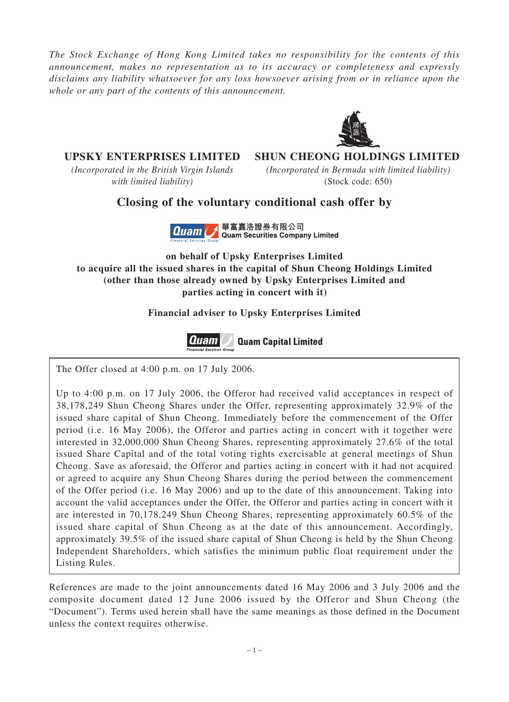*The Stock Exchange of Hong Kong Limited takes no responsibility for the contents of this announcement, makes no representation as to its accuracy or completeness and expressly disclaims any liability whatsoever for any loss howsoever arising from or in reliance upon the whole or any part of the contents of this announcement.*



## **UPSKY ENTERPRISES LIMITED SHUN CHEONG HOLDINGS LIMITED**

*(Incorporated in the British Virgin Islands (Incorporated in Bermuda with limited liability)*

*with limited liability)* (Stock code: 650)

# **Closing of the voluntary conditional cash offer by**



**on behalf of Upsky Enterprises Limited to acquire all the issued shares in the capital of Shun Cheong Holdings Limited (other than those already owned by Upsky Enterprises Limited and parties acting in concert with it)**

### **Financial adviser to Upsky Enterprises Limited**



The Offer closed at 4:00 p.m. on 17 July 2006.

Up to 4:00 p.m. on 17 July 2006, the Offeror had received valid acceptances in respect of 38,178,249 Shun Cheong Shares under the Offer, representing approximately 32.9% of the issued share capital of Shun Cheong. Immediately before the commencement of the Offer period (i.e. 16 May 2006), the Offeror and parties acting in concert with it together were interested in 32,000,000 Shun Cheong Shares, representing approximately 27.6% of the total issued Share Capital and of the total voting rights exercisable at general meetings of Shun Cheong. Save as aforesaid, the Offeror and parties acting in concert with it had not acquired or agreed to acquire any Shun Cheong Shares during the period between the commencement of the Offer period (i.e. 16 May 2006) and up to the date of this announcement. Taking into account the valid acceptances under the Offer, the Offeror and parties acting in concert with it are interested in 70,178,249 Shun Cheong Shares, representing approximately 60.5% of the issued share capital of Shun Cheong as at the date of this announcement. Accordingly, approximately 39.5% of the issued share capital of Shun Cheong is held by the Shun Cheong Independent Shareholders, which satisfies the minimum public float requirement under the Listing Rules.

References are made to the joint announcements dated 16 May 2006 and 3 July 2006 and the composite document dated 12 June 2006 issued by the Offeror and Shun Cheong (the "Document"). Terms used herein shall have the same meanings as those defined in the Document unless the context requires otherwise.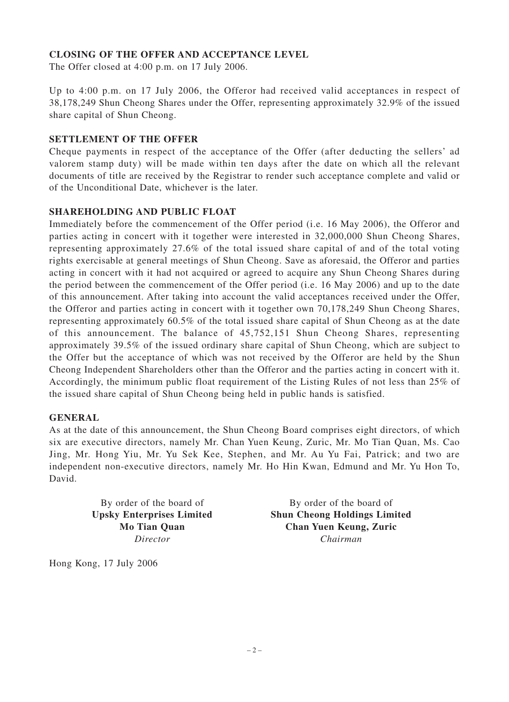#### **CLOSING OF THE OFFER AND ACCEPTANCE LEVEL**

The Offer closed at 4:00 p.m. on 17 July 2006.

Up to 4:00 p.m. on 17 July 2006, the Offeror had received valid acceptances in respect of 38,178,249 Shun Cheong Shares under the Offer, representing approximately 32.9% of the issued share capital of Shun Cheong.

#### **SETTLEMENT OF THE OFFER**

Cheque payments in respect of the acceptance of the Offer (after deducting the sellers' ad valorem stamp duty) will be made within ten days after the date on which all the relevant documents of title are received by the Registrar to render such acceptance complete and valid or of the Unconditional Date, whichever is the later.

#### **SHAREHOLDING AND PUBLIC FLOAT**

Immediately before the commencement of the Offer period (i.e. 16 May 2006), the Offeror and parties acting in concert with it together were interested in 32,000,000 Shun Cheong Shares, representing approximately 27.6% of the total issued share capital of and of the total voting rights exercisable at general meetings of Shun Cheong. Save as aforesaid, the Offeror and parties acting in concert with it had not acquired or agreed to acquire any Shun Cheong Shares during the period between the commencement of the Offer period (i.e. 16 May 2006) and up to the date of this announcement. After taking into account the valid acceptances received under the Offer, the Offeror and parties acting in concert with it together own 70,178,249 Shun Cheong Shares, representing approximately 60.5% of the total issued share capital of Shun Cheong as at the date of this announcement. The balance of 45,752,151 Shun Cheong Shares, representing approximately 39.5% of the issued ordinary share capital of Shun Cheong, which are subject to the Offer but the acceptance of which was not received by the Offeror are held by the Shun Cheong Independent Shareholders other than the Offeror and the parties acting in concert with it. Accordingly, the minimum public float requirement of the Listing Rules of not less than 25% of the issued share capital of Shun Cheong being held in public hands is satisfied.

#### **GENERAL**

As at the date of this announcement, the Shun Cheong Board comprises eight directors, of which six are executive directors, namely Mr. Chan Yuen Keung, Zuric, Mr. Mo Tian Quan, Ms. Cao Jing, Mr. Hong Yiu, Mr. Yu Sek Kee, Stephen, and Mr. Au Yu Fai, Patrick; and two are independent non-executive directors, namely Mr. Ho Hin Kwan, Edmund and Mr. Yu Hon To, David.

By order of the board of By order of the board of **Upsky Enterprises Limited Shun Cheong Holdings Limited Mo Tian Quan Chan Yuen Keung, Zuric** *Director Chairman*

Hong Kong, 17 July 2006